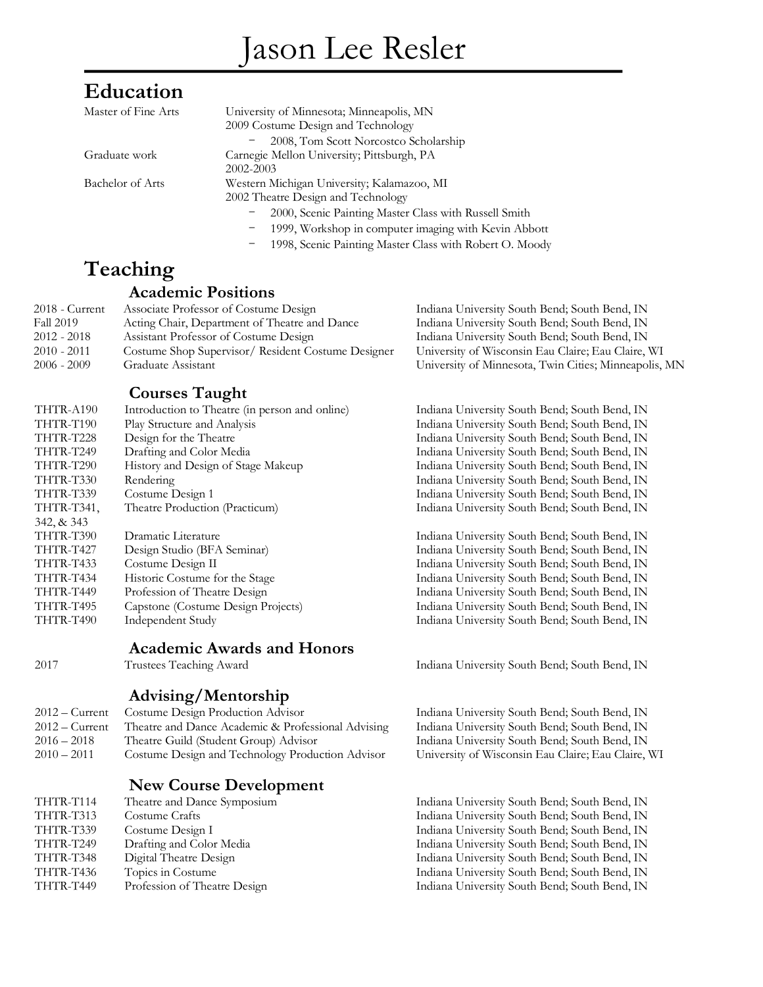# Jason Lee Resler

# **Education**

| Master of Fine Arts | University of Minnesota; Minneapolis, MN              |
|---------------------|-------------------------------------------------------|
|                     | 2009 Costume Design and Technology                    |
|                     | 2008, Tom Scott Norcostco Scholarship                 |
| Graduate work       | Carnegie Mellon University; Pittsburgh, PA            |
|                     | 2002-2003                                             |
| Bachelor of Arts    | Western Michigan University; Kalamazoo, MI            |
|                     | 2002 Theatre Design and Technology                    |
|                     | 2000, Scenic Painting Master Class with Russell Smith |
|                     | 1999, Workshop in computer imaging with Kevin Abbott  |
|                     |                                                       |

1998, Scenic Painting Master Class with Robert O. Moody

# **Teaching**

#### **Academic Positions**

| $2018$ - Current | Associate Professor of Costume Design              |
|------------------|----------------------------------------------------|
| <b>Fall 2019</b> | Acting Chair, Department of Theatre and Dance      |
| $2012 - 2018$    | Assistant Professor of Costume Design              |
| $2010 - 2011$    | Costume Shop Supervisor/ Resident Costume Designer |
| $2006 - 2009$    | Graduate Assistant                                 |

Indiana University South Bend; South Bend, IN Indiana University South Bend; South Bend, IN University of Wisconsin Eau Claire; Eau Claire, WI University of Minnesota, Twin Cities; Minneapolis, MN

#### **Courses Taught**

| THTR-A190        | Introduction to Theatre (in person and online) |
|------------------|------------------------------------------------|
| THTR-T190        | Play Structure and Analysis                    |
| THTR-T228        | Design for the Theatre                         |
| THTR-T249        | Drafting and Color Media                       |
| THTR-T290        | History and Design of Stage Makeup             |
| THTR-T330        | Rendering                                      |
| THTR-T339        | Costume Design 1                               |
| THTR-T341,       | Theatre Production (Practicum)                 |
| 342, & 343       |                                                |
| THTR-T390        | Dramatic Literature                            |
| THTR-T427        | Design Studio (BFA Seminar)                    |
| <b>THTR-T433</b> | Costume Design II                              |
| THTR-T434        | Historic Costume for the Stage                 |
| THTR-T449        | Profession of Theatre Design                   |
| THTR-T495        | Capstone (Costume Design Projects)             |
| THTR-T490        | Independent Study                              |
|                  | <b>Academic Awards and Honors</b>              |

#### **Advising/Mentorship**

| 2012 – Current Costume Design Production Advisor   |
|----------------------------------------------------|
| Theatre and Dance Academic & Professional Advising |
| Theatre Guild (Student Group) Advisor              |
| Costume Design and Technology Production Advisor   |
|                                                    |

#### **New Course Development**

| THTR-T114 | Theatre and Dance Symposium  |
|-----------|------------------------------|
| THTR-T313 | Costume Crafts               |
| THTR-T339 | Costume Design I             |
| THTR-T249 | Drafting and Color Media     |
| THTR-T348 | Digital Theatre Design       |
| THTR-T436 | Topics in Costume            |
| THTR-T449 | Profession of Theatre Design |
|           |                              |

Indiana University South Bend; South Bend, IN Indiana University South Bend; South Bend, IN Indiana University South Bend; South Bend, IN Indiana University South Bend; South Bend, IN Indiana University South Bend; South Bend, IN Indiana University South Bend; South Bend, IN Indiana University South Bend; South Bend, IN Indiana University South Bend; South Bend, IN

Indiana University South Bend; South Bend, IN

Indiana University South Bend; South Bend, IN Indiana University South Bend; South Bend, IN Indiana University South Bend; South Bend, IN Indiana University South Bend; South Bend, IN Indiana University South Bend; South Bend, IN Indiana University South Bend; South Bend, IN Indiana University South Bend; South Bend, IN

2017 Trustees Teaching Award Indiana University South Bend; South Bend, IN

Indiana University South Bend; South Bend, IN Indiana University South Bend; South Bend, IN Indiana University South Bend; South Bend, IN University of Wisconsin Eau Claire; Eau Claire, WI

Indiana University South Bend; South Bend, IN Indiana University South Bend; South Bend, IN Indiana University South Bend; South Bend, IN Indiana University South Bend; South Bend, IN Indiana University South Bend; South Bend, IN Indiana University South Bend; South Bend, IN Indiana University South Bend; South Bend, IN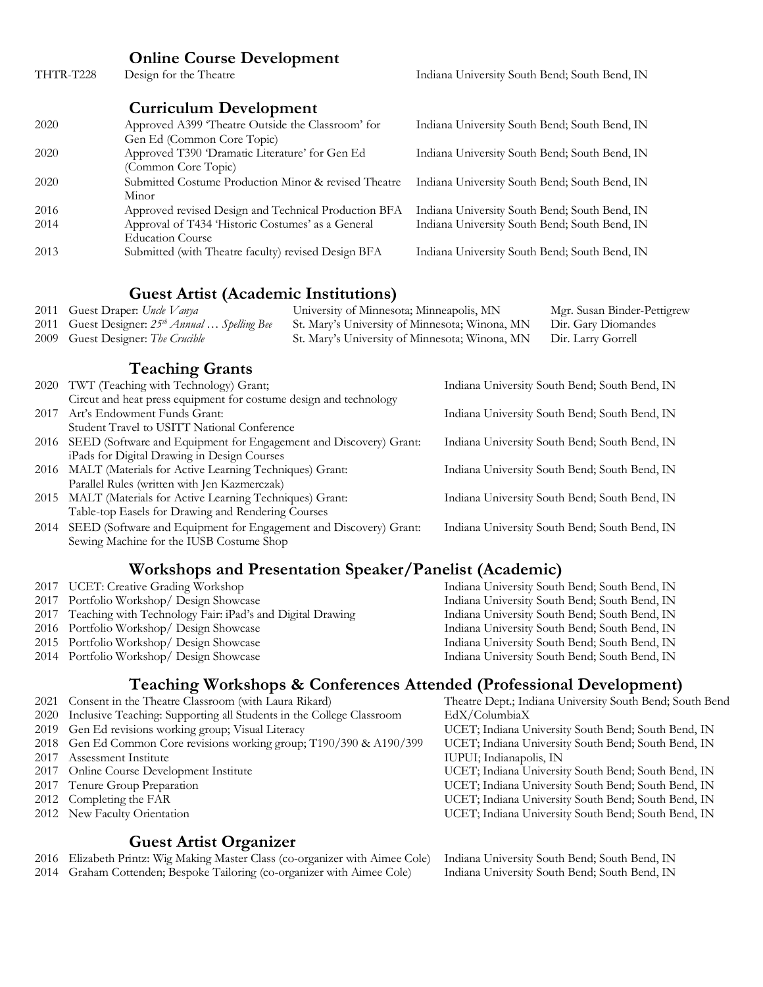# **Online Course Development**<br>Design for the Theatre

THTR-T228 Design for the Theatre Indiana University South Bend; South Bend, IN

#### **Curriculum Development**

| 2020 | Approved A399 'Theatre Outside the Classroom' for<br>Gen Ed (Common Core Topic) | Indiana University South Bend; South Bend, IN |
|------|---------------------------------------------------------------------------------|-----------------------------------------------|
| 2020 | Approved T390 'Dramatic Literature' for Gen Ed<br>(Common Core Topic)           | Indiana University South Bend; South Bend, IN |
| 2020 | Submitted Costume Production Minor & revised Theatre<br>Minor                   | Indiana University South Bend; South Bend, IN |
| 2016 | Approved revised Design and Technical Production BFA                            | Indiana University South Bend; South Bend, IN |
| 2014 | Approval of T434 'Historic Costumes' as a General<br><b>Education Course</b>    | Indiana University South Bend; South Bend, IN |
| 2013 | Submitted (with Theatre faculty) revised Design BFA                             | Indiana University South Bend; South Bend, IN |

#### **Guest Artist (Academic Institutions)**

|      | 2011 Guest Draper: Uncle Vanya                             | University of Minnesota; Minneapolis, MN       | Mgr. Susan Binder-Pettigrew                   |
|------|------------------------------------------------------------|------------------------------------------------|-----------------------------------------------|
|      | 2011 Guest Designer: 25 <sup>th</sup> Annual  Spelling Bee | St. Mary's University of Minnesota; Winona, MN | Dir. Gary Diomandes                           |
|      | 2009 Guest Designer: The Crucible                          | St. Mary's University of Minnesota; Winona, MN | Dir. Larry Gorrell                            |
|      |                                                            |                                                |                                               |
|      | <b>Teaching Grants</b>                                     |                                                |                                               |
| 2020 | TWT (Teaching with Technology) Grant;                      |                                                | Indiana University South Bend; South Bend, IN |

#### 2020 TWT (Teaching with Technology) Grant; Circut and heat press equipment for costume design and technology

| 2017 Art's Endowment Funds Grant:                                      | Indiana University South Bend; South Bend, IN |
|------------------------------------------------------------------------|-----------------------------------------------|
| Student Travel to USITT National Conference                            |                                               |
| 2016 SEED (Software and Equipment for Engagement and Discovery) Grant: | Indiana University South Bend; South Bend, IN |
| iPads for Digital Drawing in Design Courses                            |                                               |
| 2016 MALT (Materials for Active Learning Techniques) Grant:            | Indiana University South Bend; South Bend, IN |
| Parallel Rules (written with Jen Kazmerczak)                           |                                               |
| 2015 MALT (Materials for Active Learning Techniques) Grant:            | Indiana University South Bend; South Bend, IN |
| $T_{\rm eff}$ the contract for Demise and Dendering Common             |                                               |

- Table-top Easels for Drawing and Rendering Courses
- 2014 SEED (Software and Equipment for Engagement and Discovery) Grant: Sewing Machine for the IUSB Costume Shop

# **Workshops and Presentation Speaker/Panelist (Academic)**<br>2017 UCET: Creative Grading Workshop<br>Indiana University South

- 
- 
- 2017 Teaching with Technology Fair: iPad's and Digital Drawing
- 
- 
- 

Indiana University South Bend; South Bend, IN 2017 Portfolio Workshop/ Design Showcase Indiana University South Bend; South Bend, IN<br>2017 Teaching with Technology Fair: iPad's and Digital Drawing Indiana University South Bend; South Bend, IN 2016 Portfolio Workshop/ Design Showcase Indiana University South Bend; South Bend, IN 2015 Portfolio Workshop/ Design Showcase Indiana University South Bend; South Bend, IN Indiana University South Bend; South Bend, IN

Indiana University South Bend; South Bend, IN

# **Teaching Workshops & Conferences Attended (Professional Development)**

- 2021 Consent in the Theatre Classroom (with Laura Rikard)
- 2020 Inclusive Teaching: Supporting all Students in the College Classroom EdX/ColumbiaX
- 2019 Gen Ed revisions working group; Visual Literacy UCET; Indiana University South Bend; South Bend, IN
- 2018 Gen Ed Common Core revisions working group; T190/390 & A190/399 UCET; Indiana University South Bend; South Bend, IN
- 2017 Assessment Institute IUPUI; Indianapolis, IN
- 
- 
- 
- 

#### **Guest Artist Organizer**

2016 Elizabeth Printz: Wig Making Master Class (co-organizer with Aimee Cole) Indiana University South Bend; South Bend, IN

2014 Graham Cottenden; Bespoke Tailoring (co-organizer with Aimee Cole) Indiana University South Bend; South Bend, IN

 Online Course Development Institute UCET; Indiana University South Bend; South Bend, IN Tenure Group Preparation UCET; Indiana University South Bend; South Bend, IN 2012 Completing the FAR Completing the FAR UCET; Indiana University South Bend; South Bend, IN New Faculty Orientation UCET; Indiana University South Bend; South Bend, IN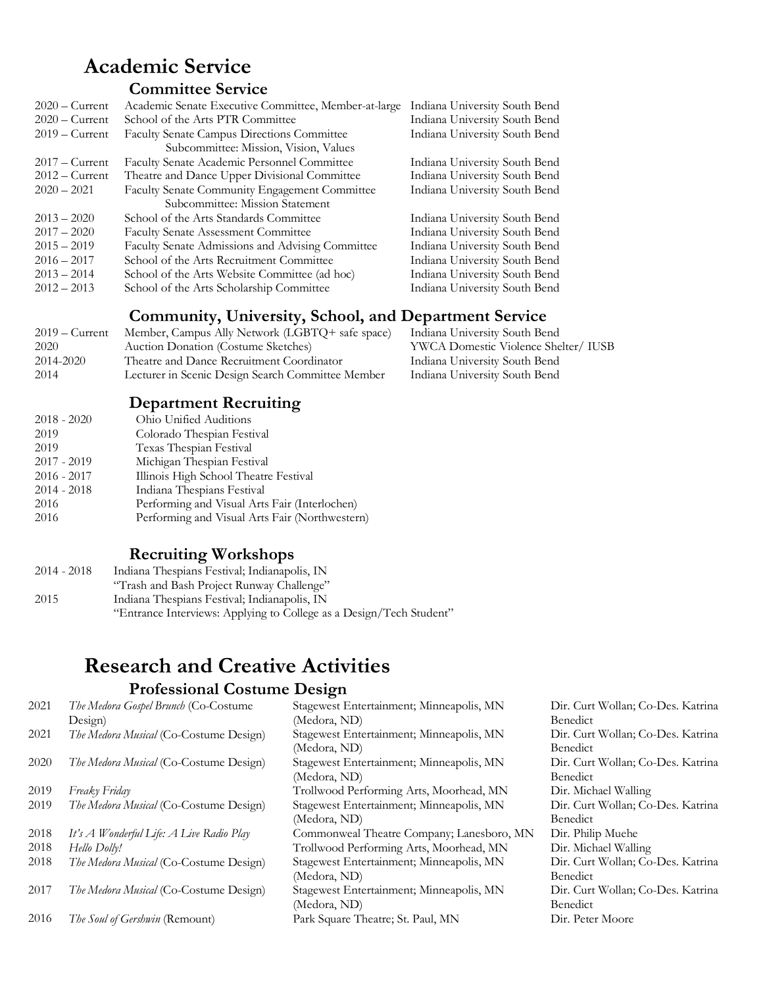# **Academic Service**

#### **Committee Service**

| $2020 -$ Current | Academic Senate Executive Committee, Member-at-large | Indiana University South Bend |
|------------------|------------------------------------------------------|-------------------------------|
| $2020 -$ Current | School of the Arts PTR Committee                     | Indiana University South Bend |
| $2019 -$ Current | Faculty Senate Campus Directions Committee           | Indiana University South Bend |
|                  | Subcommittee: Mission, Vision, Values                |                               |
| $2017 -$ Current | Faculty Senate Academic Personnel Committee          | Indiana University South Bend |
| $2012 -$ Current | Theatre and Dance Upper Divisional Committee         | Indiana University South Bend |
| $2020 - 2021$    | Faculty Senate Community Engagement Committee        | Indiana University South Bend |
|                  | Subcommittee: Mission Statement                      |                               |
| $2013 - 2020$    | School of the Arts Standards Committee               | Indiana University South Bend |
| $2017 - 2020$    | <b>Faculty Senate Assessment Committee</b>           | Indiana University South Bend |
| $2015 - 2019$    | Faculty Senate Admissions and Advising Committee     | Indiana University South Bend |
| $2016 - 2017$    | School of the Arts Recruitment Committee             | Indiana University South Bend |
| $2013 - 2014$    | School of the Arts Website Committee (ad hoc)        | Indiana University South Bend |
| $2012 - 2013$    | School of the Arts Scholarship Committee             | Indiana University South Bend |
|                  |                                                      |                               |

### **Community, University, School, and Department Service**

| Member, Campus Ally Network (LGBTQ+ safe space)<br>Indiana University South Bend<br>$2019 -$ Current |  |
|------------------------------------------------------------------------------------------------------|--|
| YWCA Domestic Violence Shelter/ IUSB<br>2020<br>Auction Donation (Costume Sketches)                  |  |
| 2014-2020<br>Theatre and Dance Recruitment Coordinator<br>Indiana University South Bend              |  |
| Lecturer in Scenic Design Search Committee Member<br>Indiana University South Bend<br>2014           |  |

### **Department Recruiting**

| Ohio Unified Auditions                         |
|------------------------------------------------|
| Colorado Thespian Festival                     |
| Texas Thespian Festival                        |
| Michigan Thespian Festival                     |
| Illinois High School Theatre Festival          |
| Indiana Thespians Festival                     |
| Performing and Visual Arts Fair (Interlochen)  |
| Performing and Visual Arts Fair (Northwestern) |
|                                                |

### **Recruiting Workshops**

| 2014 - 2018 | Indiana Thespians Festival; Indianapolis, IN                        |
|-------------|---------------------------------------------------------------------|
|             | "Trash and Bash Project Runway Challenge"                           |
| 2015        | Indiana Thespians Festival; Indianapolis, IN                        |
|             | "Entrance Interviews: Applying to College as a Design/Tech Student" |

### **Research and Creative Activities Professional Costume Design**

| 2021 | The Medora Gospel Brunch (Co-Costume     | Stagewest Entertainment; Minneapolis, MN  | Dir. Curt Wollan; Co-Des. Katrina |
|------|------------------------------------------|-------------------------------------------|-----------------------------------|
|      | Design)                                  | (Medora, ND)                              | Benedict                          |
|      |                                          |                                           |                                   |
| 2021 | The Medora Musical (Co-Costume Design)   | Stagewest Entertainment; Minneapolis, MN  | Dir. Curt Wollan; Co-Des. Katrina |
|      |                                          | (Medora, ND)                              | Benedict                          |
| 2020 | The Medora Musical (Co-Costume Design)   | Stagewest Entertainment; Minneapolis, MN  | Dir. Curt Wollan; Co-Des. Katrina |
|      |                                          | (Medora, ND)                              | <b>Benedict</b>                   |
| 2019 | Freaky Friday                            | Trollwood Performing Arts, Moorhead, MN   | Dir. Michael Walling              |
| 2019 | The Medora Musical (Co-Costume Design)   | Stagewest Entertainment; Minneapolis, MN  | Dir. Curt Wollan; Co-Des. Katrina |
|      |                                          | (Medora, ND)                              | <b>Benedict</b>                   |
| 2018 | It's A Wonderful Life: A Live Radio Play | Commonweal Theatre Company; Lanesboro, MN | Dir. Philip Muehe                 |
| 2018 | Hello Dolly!                             | Trollwood Performing Arts, Moorhead, MN   | Dir. Michael Walling              |
| 2018 | The Medora Musical (Co-Costume Design)   | Stagewest Entertainment; Minneapolis, MN  | Dir. Curt Wollan; Co-Des. Katrina |
|      |                                          | (Medora, ND)                              | Benedict                          |
| 2017 | The Medora Musical (Co-Costume Design)   | Stagewest Entertainment; Minneapolis, MN  | Dir. Curt Wollan; Co-Des. Katrina |
|      |                                          | (Medora, ND)                              | Benedict                          |
| 2016 | The Soul of Gershwin (Remount)           | Park Square Theatre; St. Paul, MN         | Dir. Peter Moore                  |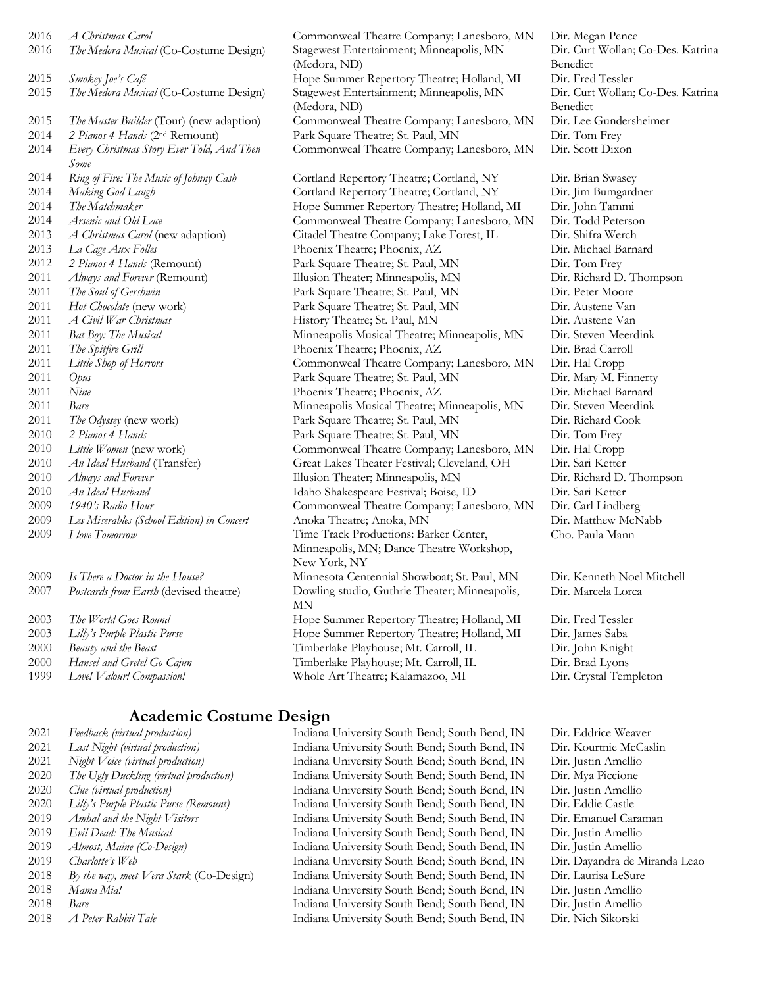| 2016 | A Christmas Carol                                 |
|------|---------------------------------------------------|
| 2016 | The Medora Musical (Co-Costume Design)            |
| 2015 | Smokey Joe's Café                                 |
| 2015 | The Medora Musical (Co-Costume Design)            |
| 2015 | The Master Builder (Tour) (new adaption)          |
| 2014 | 2 Pianos 4 Hands (2nd Remount)                    |
| 2014 | Every Christmas Story Ever Told, And Then<br>Some |
| 2014 | Ring of Fire: The Music of Johnny Cash            |
| 2014 | Making God Laugh                                  |
| 2014 | The Matchmaker                                    |
| 2014 | Arsenic and Old Lace                              |
| 2013 | A Christmas Carol (new adaption)                  |
| 2013 | La Cage Aux Folles                                |
| 2012 | 2 Pianos 4 Hands (Remount)                        |
| 2011 | Always and Forever (Remount)                      |
| 2011 | The Soul of Gershwin                              |
| 2011 | Hot Chocolate (new work)                          |
| 2011 | A Civil War Christmas                             |
| 2011 | Bat Boy: The Musical                              |
| 2011 | The Spitfire Grill                                |
| 2011 | Little Shop of Horrors                            |
| 2011 | Opus                                              |
| 2011 | Nine                                              |
| 2011 | <b>Bare</b>                                       |
| 2011 | The Odyssey (new work)                            |
| 2010 | 2 Pianos 4 Hands                                  |
| 2010 | Little Women (new work)                           |
| 2010 | An Ideal Husband (Transfer)                       |
| 2010 | Always and Forever                                |
| 2010 | An Ideal Husband                                  |
| 2009 | 1940's Radio Hour                                 |
| 2009 | Les Miserables (School Edition) in Concert        |
| 2009 | I love Tomorrow                                   |
| 2009 | Is There a Doctor in the House?                   |
| 2007 | Postcards from Earth (devised theatre)            |
|      |                                                   |

| 2003<br>The World Goes Round |  |
|------------------------------|--|
|------------------------------|--|

- 
- 
- 
- 1999 *Love! Valour! Compassion!* Whole Art Theatre; Kalamazoo, MI Dir. Crystal Templeton

<sup>1</sup> *Stagewest Entertainment; Minneapolis, MN* (Medora, ND) 2015 *Smokey Joe's Café* Hope Summer Repertory Theatre; Holland, MI Dir. Fred Tessler 1) Stagewest Entertainment; Minneapolis, MN (Medora, ND) Commonweal Theatre Company; Lanesboro, MN Dir. Lee Gundersheimer Park Square Theatre; St. Paul, MN Dir. Tom Frey Commonweal Theatre Company; Lanesboro, MN Dir. Scott Dixon

2014 *Ring of Fire: The Music of Johnny Cash* Cortland Repertory Theatre; Cortland, NY Dir. Brian Swasey 2014 *Making God Laugh* Cortland Repertory Theatre; Cortland, NY Dir. Jim Bumgardner 2014 *The Matchmaker* Hope Summer Repertory Theatre; Holland, MI Dir. John Tammi Commonweal Theatre Company; Lanesboro, MN Dir. Todd Peterson Citadel Theatre Company; Lake Forest, IL Dir. Shifra Werch Phoenix Theatre; Phoenix, AZ Dir. Michael Barnard Park Square Theatre; St. Paul, MN Dir. Tom Frey Illusion Theater; Minneapolis, MN Dir. Richard D. Thompson Park Square Theatre; St. Paul, MN Dir. Peter Moore Park Square Theatre; St. Paul, MN Dir. Austene Van 2011 *A Civil War Christmas* History Theatre; St. Paul, MN Dir. Austene Van Minneapolis Musical Theatre; Minneapolis, MN Dir. Steven Meerdink Phoenix Theatre; Phoenix, AZ Dir. Brad Carroll 2011 *Little Shop of Horrors* Commonweal Theatre Company; Lanesboro, MN Dir. Hal Cropp Park Square Theatre; St. Paul, MN Dir. Mary M. Finnerty Phoenix Theatre; Phoenix, AZ Dir. Michael Barnard Minneapolis Musical Theatre; Minneapolis, MN Dir. Steven Meerdink Park Square Theatre; St. Paul, MN Dir. Richard Cook Park Square Theatre; St. Paul, MN Dir. Tom Frey Commonweal Theatre Company; Lanesboro, MN Dir. Hal Cropp Great Lakes Theater Festival; Cleveland, OH Dir. Sari Ketter 2010 *Always and Forever* Illusion Theater; Minneapolis, MN Dir. Richard D. Thompson 2010 *An Ideal Husband* Idaho Shakespeare Festival; Boise, ID Dir. Sari Ketter 2009 *1940's Radio Hour* Commonweal Theatre Company; Lanesboro, MN Dir. Carl Lindberg 2009 *Les Miserables (School Edition) in Concert* Anoka Theatre; Anoka, MN Dir. Matthew McNabb Time Track Productions: Barker Center, Minneapolis, MN; Dance Theatre Workshop, New York, NY 2009 *Is There a Doctor in the House?* Minnesota Centennial Showboat; St. Paul, MN Dir. Kenneth Noel Mitchell Dowling studio, Guthrie Theater; Minneapolis, MN 2003 *The World Goes Round* Hope Summer Repertory Theatre; Holland, MI Dir. Fred Tessler 2003 *Lilly's Purple Plastic Purse* Hope Summer Repertory Theatre; Holland, MI Dir. James Saba 2000 *Beauty and the Beast* Timberlake Playhouse; Mt. Carroll, IL Dir. John Knight 2000 *Hansel and Gretel Go Cajun* Timberlake Playhouse; Mt. Carroll, IL Dir. Brad Lyons

2016 *A Christmas Carol* Commonweal Theatre Company; Lanesboro, MN Dir. Megan Pence Dir. Curt Wollan; Co-Des. Katrina Benedict Dir. Curt Wollan; Co-Des. Katrina Benedict

Cho. Paula Mann

Dir. Marcela Lorca

#### **Academic Costume Design**

 *Feedback (virtual production)* Indiana University South Bend; South Bend, IN Dir. Eddrice Weaver *Last Night (virtual production)* Indiana University South Bend; South Bend, IN Dir. Kourtnie McCaslin *Night Voice (virtual production)* Indiana University South Bend; South Bend, IN Dir. Justin Amellio *The Ugly Duckling (virtual production)* Indiana University South Bend; South Bend, IN Dir. Mya Piccione *Clue (virtual production)* Indiana University South Bend; South Bend, IN Dir. Justin Amellio *Lilly's Purple Plastic Purse (Remount)* Indiana University South Bend; South Bend, IN Dir. Eddie Castle *Amhal and the Night Visitors* Indiana University South Bend; South Bend, IN Dir. Emanuel Caraman *Evil Dead: The Musical* Indiana University South Bend; South Bend, IN Dir. Justin Amellio *Almost, Maine (Co-Design)* Indiana University South Bend; South Bend, IN Dir. Justin Amellio *Charlotte's Web* Indiana University South Bend; South Bend, IN Dir. Dayandra de Miranda Leao *By the way, meet Vera Stark* (Co-Design) Indiana University South Bend; South Bend, IN Dir. Laurisa LeSure *Mama Mia!* Indiana University South Bend; South Bend, IN Dir. Justin Amellio *Bare* Indiana University South Bend; South Bend, IN Dir. Justin Amellio

2018 *A Peter Rabbit Tale* Indiana University South Bend; South Bend, IN Dir. Nich Sikorski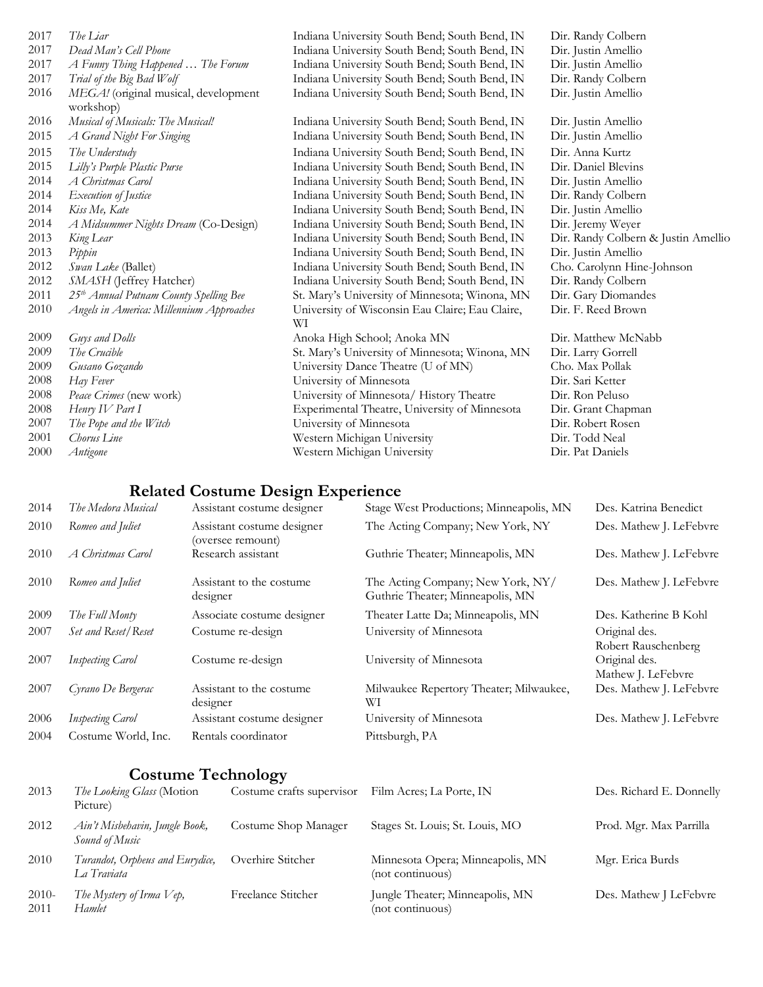| 2017 | The Liar                                           | Indiana University South Bend; South Bend, IN         | Dir. Randy Colbern                  |
|------|----------------------------------------------------|-------------------------------------------------------|-------------------------------------|
| 2017 | Dead Man's Cell Phone                              | Indiana University South Bend; South Bend, IN         | Dir. Justin Amellio                 |
| 2017 | A Funny Thing Happened  The Forum                  | Indiana University South Bend; South Bend, IN         | Dir. Justin Amellio                 |
| 2017 | Trial of the Big Bad Wolf                          | Indiana University South Bend; South Bend, IN         | Dir. Randy Colbern                  |
| 2016 | MEGA! (original musical, development<br>workshop)  | Indiana University South Bend; South Bend, IN         | Dir. Justin Amellio                 |
| 2016 | Musical of Musicals: The Musical!                  | Indiana University South Bend; South Bend, IN         | Dir. Justin Amellio                 |
| 2015 | A Grand Night For Singing                          | Indiana University South Bend; South Bend, IN         | Dir. Justin Amellio                 |
| 2015 | The Understudy                                     | Indiana University South Bend; South Bend, IN         | Dir. Anna Kurtz                     |
| 2015 | Lilly's Purple Plastic Purse                       | Indiana University South Bend; South Bend, IN         | Dir. Daniel Blevins                 |
| 2014 | A Christmas Carol                                  | Indiana University South Bend; South Bend, IN         | Dir. Justin Amellio                 |
| 2014 | Execution of Justice                               | Indiana University South Bend; South Bend, IN         | Dir. Randy Colbern                  |
| 2014 | Kiss Me, Kate                                      | Indiana University South Bend; South Bend, IN         | Dir. Justin Amellio                 |
| 2014 | A Midsummer Nights Dream (Co-Design)               | Indiana University South Bend; South Bend, IN         | Dir. Jeremy Weyer                   |
| 2013 | King Lear                                          | Indiana University South Bend; South Bend, IN         | Dir. Randy Colbern & Justin Amellio |
| 2013 | Pippin                                             | Indiana University South Bend; South Bend, IN         | Dir. Justin Amellio                 |
| 2012 | Swan Lake (Ballet)                                 | Indiana University South Bend; South Bend, IN         | Cho. Carolynn Hine-Johnson          |
| 2012 | SMASH (Jeffrey Hatcher)                            | Indiana University South Bend; South Bend, IN         | Dir. Randy Colbern                  |
| 2011 | 25 <sup>th</sup> Annual Putnam County Spelling Bee | St. Mary's University of Minnesota; Winona, MN        | Dir. Gary Diomandes                 |
| 2010 | Angels in America: Millennium Approaches           | University of Wisconsin Eau Claire; Eau Claire,<br>WI | Dir. F. Reed Brown                  |
| 2009 | Guys and Dolls                                     | Anoka High School; Anoka MN                           | Dir. Matthew McNabb                 |
| 2009 | The Crucible                                       | St. Mary's University of Minnesota; Winona, MN        | Dir. Larry Gorrell                  |
| 2009 | Gusano Gozando                                     | University Dance Theatre (U of MN)                    | Cho. Max Pollak                     |
| 2008 | Hay Fever                                          | University of Minnesota                               | Dir. Sari Ketter                    |
| 2008 | Peace Crimes (new work)                            | University of Minnesota/ History Theatre              | Dir. Ron Peluso                     |
| 2008 | Henry IV Part I                                    | Experimental Theatre, University of Minnesota         | Dir. Grant Chapman                  |
| 2007 | The Pope and the Witch                             | University of Minnesota                               | Dir. Robert Rosen                   |
| 2001 | Chorus Line                                        | Western Michigan University                           | Dir. Todd Neal                      |
| 2000 | Antigone                                           | Western Michigan University                           | Dir. Pat Daniels                    |

## **Related Costume Design Experience**

| 2014 | The Medora Musical      | Assistant costume designer                      | Stage West Productions; Minneapolis, MN                               | Des. Katrina Benedict                |
|------|-------------------------|-------------------------------------------------|-----------------------------------------------------------------------|--------------------------------------|
| 2010 | Romeo and Juliet        | Assistant costume designer<br>(oversee remount) | The Acting Company; New York, NY                                      | Des. Mathew J. LeFebvre              |
| 2010 | A Christmas Carol       | Research assistant                              | Guthrie Theater; Minneapolis, MN                                      | Des. Mathew J. LeFebvre              |
| 2010 | Romeo and Juliet        | Assistant to the costume.<br>designer           | The Acting Company; New York, NY/<br>Guthrie Theater; Minneapolis, MN | Des. Mathew J. LeFebvre              |
| 2009 | The Full Monty          | Associate costume designer                      | Theater Latte Da; Minneapolis, MN                                     | Des. Katherine B Kohl                |
| 2007 | Set and Reset/Reset     | Costume re-design                               | University of Minnesota                                               | Original des.<br>Robert Rauschenberg |
| 2007 | <b>Inspecting Carol</b> | Costume re-design                               | University of Minnesota                                               | Original des.<br>Mathew J. LeFebvre  |
| 2007 | Cyrano De Bergerac      | Assistant to the costume<br>designer            | Milwaukee Repertory Theater; Milwaukee,<br>WІ                         | Des. Mathew J. LeFebvre              |
| 2006 | <b>Inspecting Carol</b> | Assistant costume designer                      | University of Minnesota                                               | Des. Mathew J. LeFebvre              |
| 2004 | Costume World, Inc.     | Rentals coordinator                             | Pittsburgh, PA                                                        |                                      |
|      |                         |                                                 |                                                                       |                                      |

# **Costume Technology**

| 2013            | The Looking Glass (Motion<br>Picture)            | Costume crafts supervisor | Film Acres; La Porte, IN                             | Des. Richard E. Donnelly |
|-----------------|--------------------------------------------------|---------------------------|------------------------------------------------------|--------------------------|
| 2012            | Ain't Misbehavin, Jungle Book,<br>Sound of Music | Costume Shop Manager      | Stages St. Louis; St. Louis, MO                      | Prod. Mgr. Max Parrilla  |
| 2010            | Turandot, Orpheus and Eurydice,<br>La Traviata   | Overhire Stitcher         | Minnesota Opera; Minneapolis, MN<br>(not continuous) | Mgr. Erica Burds         |
| $2010-$<br>2011 | The Mystery of Irma $Vep$ ,<br>Hamlet            | Freelance Stitcher        | Jungle Theater; Minneapolis, MN<br>(not continuous)  | Des. Mathew J LeFebvre   |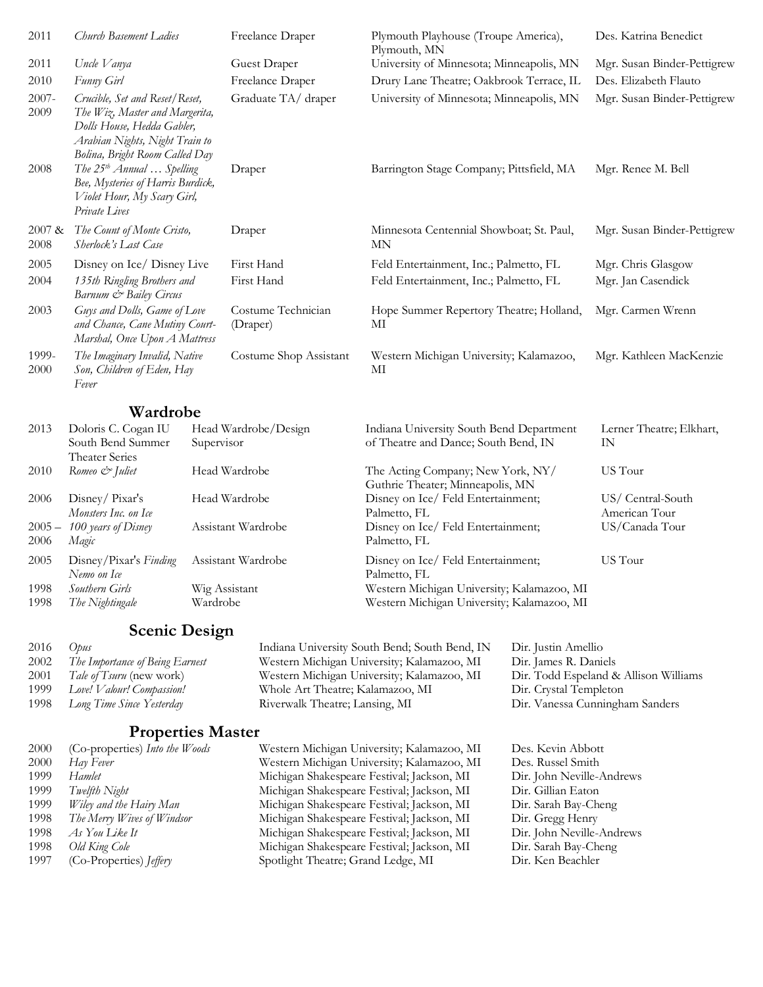| 2011           | Church Basement Ladies                                                                                                                                             | Freelance Draper               | Plymouth Playhouse (Troupe America),<br>Plymouth, MN | Des. Katrina Benedict       |
|----------------|--------------------------------------------------------------------------------------------------------------------------------------------------------------------|--------------------------------|------------------------------------------------------|-----------------------------|
| 2011           | Uncle Vanya                                                                                                                                                        | Guest Draper                   | University of Minnesota; Minneapolis, MN             | Mgr. Susan Binder-Pettigrew |
| 2010           | Funny Girl                                                                                                                                                         | Freelance Draper               | Drury Lane Theatre; Oakbrook Terrace, IL             | Des. Elizabeth Flauto       |
| 2007-<br>2009  | Crucible, Set and Reset/Reset,<br>The Wiz, Master and Margerita,<br>Dolls House, Hedda Gabler,<br>Arabian Nights, Night Train to<br>Bolina, Bright Room Called Day | Graduate TA/draper             | University of Minnesota; Minneapolis, MN             | Mgr. Susan Binder-Pettigrew |
| 2008           | The 25 <sup>th</sup> Annual  Spelling<br>Bee, Mysteries of Harris Burdick,<br>Violet Hour, My Scary Girl,<br>Private Lives                                         | Draper                         | Barrington Stage Company; Pittsfield, MA             | Mgr. Renee M. Bell          |
| 2007 &<br>2008 | The Count of Monte Cristo,<br>Sherlock's Last Case                                                                                                                 | Draper                         | Minnesota Centennial Showboat; St. Paul,<br>MN       | Mgr. Susan Binder-Pettigrew |
| 2005           | Disney on Ice/ Disney Live                                                                                                                                         | First Hand                     | Feld Entertainment, Inc.; Palmetto, FL               | Mgr. Chris Glasgow          |
| 2004           | 135th Ringling Brothers and<br>Barnum & Bailey Circus                                                                                                              | First Hand                     | Feld Entertainment, Inc.; Palmetto, FL               | Mgr. Jan Casendick          |
| 2003           | Guys and Dolls, Game of Love<br>and Chance, Cane Mutiny Court-<br>Marshal, Once Upon A Mattress                                                                    | Costume Technician<br>(Draper) | Hope Summer Repertory Theatre; Holland,<br>МІ        | Mgr. Carmen Wrenn           |
| 1999-<br>2000  | The Imaginary Invalid, Native<br>Son, Children of Eden, Hay<br>Fever                                                                                               | Costume Shop Assistant         | Western Michigan University; Kalamazoo,<br>МI        | Mgr. Kathleen MacKenzie     |
|                | <b>Wardrobe</b>                                                                                                                                                    |                                |                                                      |                             |

| 2013             | Doloris C. Cogan IU<br>South Bend Summer<br>Theater Series | Head Wardrobe/Design<br>Supervisor | Indiana University South Bend Department<br>of Theatre and Dance; South Bend, IN         | Lerner Theatre; Elkhart,<br>IN     |
|------------------|------------------------------------------------------------|------------------------------------|------------------------------------------------------------------------------------------|------------------------------------|
| 2010             | Romeo & Juliet                                             | Head Wardrobe                      | The Acting Company; New York, NY/<br>Guthrie Theater; Minneapolis, MN                    | US Tour                            |
| 2006             | Disney/Pixar's<br>Monsters Inc. on Ice                     | Head Wardrobe                      | Disney on Ice/Feld Entertainment;<br>Palmetto, FL                                        | US/ Central-South<br>American Tour |
| $2005 -$<br>2006 | 100 years of Disney<br>Magic                               | Assistant Wardrobe                 | Disney on Ice/Feld Entertainment;<br>Palmetto, FL                                        | US/Canada Tour                     |
| 2005             | Disney/Pixar's Finding<br>Nemo on Ice                      | Assistant Wardrobe                 | Disney on Ice/Feld Entertainment;<br>Palmetto, FL                                        | US Tour                            |
| 1998<br>1998     | Southern Girls<br>The Nightingale                          | Wig Assistant<br>Wardrobe          | Western Michigan University; Kalamazoo, MI<br>Western Michigan University; Kalamazoo, MI |                                    |
|                  |                                                            |                                    |                                                                                          |                                    |

# **Scenic Design**

| 2016 | Opus                            | Indiana University South Bend; South Bend, IN | Dir. Justin Amellio                   |
|------|---------------------------------|-----------------------------------------------|---------------------------------------|
| 2002 | The Importance of Being Earnest | Western Michigan University; Kalamazoo, MI    | Dir. James R. Daniels                 |
| 2001 | <i>Tale of Tsuru</i> (new work) | Western Michigan University; Kalamazoo, MI    | Dir. Todd Espeland & Allison Williams |
| 1999 | Love! Valour! Compassion!       | Whole Art Theatre; Kalamazoo, MI              | Dir. Crystal Templeton                |
|      | 1998 Long Time Since Yesterday  | Riverwalk Theatre; Lansing, MI                | Dir. Vanessa Cunningham Sanders       |
|      |                                 |                                               |                                       |

# **Properties Master**

| 2000 | (Co-properties) Into the Woods   | Western Michigan University; Kalamazoo, MI | Des. Kevin Abbott         |
|------|----------------------------------|--------------------------------------------|---------------------------|
| 2000 | Hay Fever                        | Western Michigan University; Kalamazoo, MI | Des. Russel Smith         |
| 1999 | Hamlet                           | Michigan Shakespeare Festival; Jackson, MI | Dir. John Neville-Andrews |
| 1999 | Twelfth Night                    | Michigan Shakespeare Festival; Jackson, MI | Dir. Gillian Eaton        |
| 1999 | Wiley and the Hairy Man          | Michigan Shakespeare Festival; Jackson, MI | Dir. Sarah Bay-Cheng      |
| 1998 | The Merry Wives of Windsor       | Michigan Shakespeare Festival; Jackson, MI | Dir. Gregg Henry          |
| 1998 | As You Like It                   | Michigan Shakespeare Festival; Jackson, MI | Dir. John Neville-Andrews |
| 1998 | Old King Cole                    | Michigan Shakespeare Festival; Jackson, MI | Dir. Sarah Bay-Cheng      |
| 1997 | $(Co-Properties)$ <i>[effery</i> | Spotlight Theatre; Grand Ledge, MI         | Dir. Ken Beachler         |
|      |                                  |                                            |                           |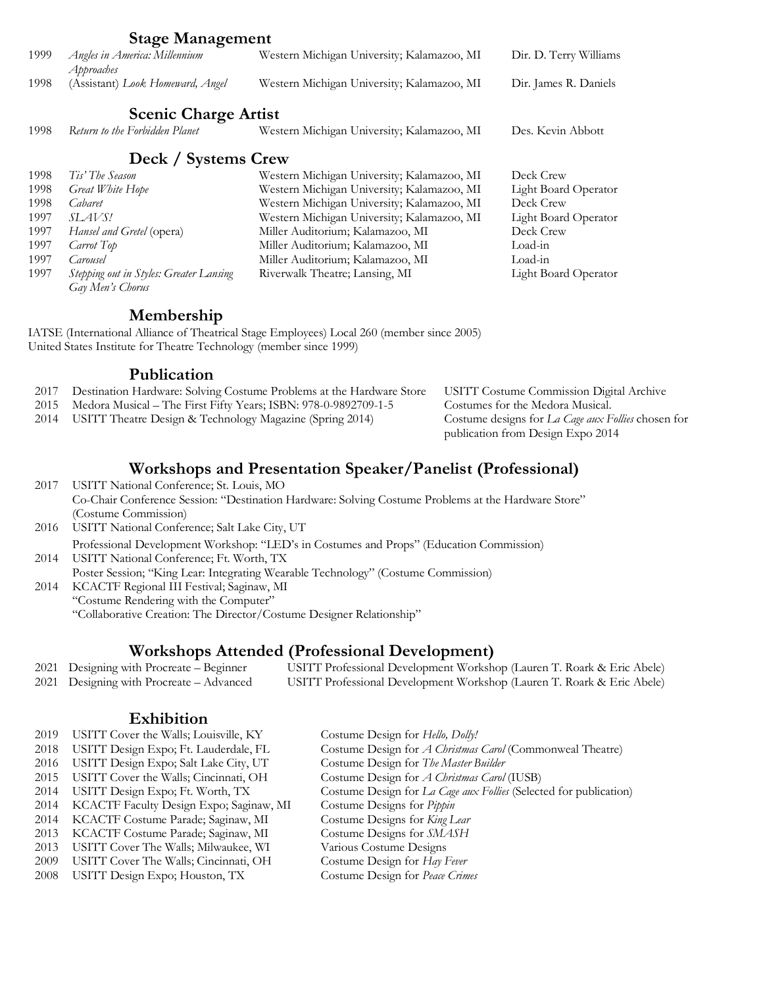|      | <b>Stage Management</b>                                     |                                            |                             |
|------|-------------------------------------------------------------|--------------------------------------------|-----------------------------|
| 1999 | Angles in America: Millennium<br>Approaches                 | Western Michigan University; Kalamazoo, MI | Dir. D. Terry Williams      |
| 1998 | (Assistant) Look Homeward, Angel                            | Western Michigan University; Kalamazoo, MI | Dir. James R. Daniels       |
|      | <b>Scenic Charge Artist</b>                                 |                                            |                             |
| 1998 | Return to the Forbidden Planet                              | Western Michigan University; Kalamazoo, MI | Des. Kevin Abbott           |
|      | Deck / Systems Crew                                         |                                            |                             |
| 1998 | Tis' The Season                                             | Western Michigan University; Kalamazoo, MI | Deck Crew                   |
| 1998 | Great White Hope                                            | Western Michigan University; Kalamazoo, MI | Light Board Operator        |
| 1998 | Cabaret                                                     | Western Michigan University; Kalamazoo, MI | Deck Crew                   |
| 1997 | <i>SLAVS!</i>                                               | Western Michigan University; Kalamazoo, MI | Light Board Operator        |
| 1997 | Hansel and Gretel (opera)                                   | Miller Auditorium; Kalamazoo, MI           | Deck Crew                   |
| 1997 | Carrot Top                                                  | Miller Auditorium; Kalamazoo, MI           | Load-in                     |
| 1997 | Carousel                                                    | Miller Auditorium; Kalamazoo, MI           | Load-in                     |
| 1997 | Stepping out in Styles: Greater Lansing<br>Gay Men's Chorus | Riverwalk Theatre; Lansing, MI             | <b>Light Board Operator</b> |

#### **Membership**

IATSE (International Alliance of Theatrical Stage Employees) Local 260 (member since 2005) United States Institute for Theatre Technology (member since 1999)

#### **Publication**

- 2017 Destination Hardware: Solving Costume Problems at the Hardware Store USITT Costume Commission Digital Archive
- 
- 2014 USITT Theatre Design & Technology Magazine (Spring 2014)

2015 Medora Musical – The First Fifty Years; ISBN: 978-0-9892709-1-5 Costumes for the Medora Musical.<br>2014 USITT Theatre Design & Technology Magazine (Spring 2014) Costume designs for La Cage aux Follies chosen for publication from Design Expo 2014

#### **Workshops and Presentation Speaker/Panelist (Professional)**

2017 USITT National Conference; St. Louis, MO Co-Chair Conference Session: "Destination Hardware: Solving Costume Problems at the Hardware Store" (Costume Commission) 2016 USITT National Conference; Salt Lake City, UT

Professional Development Workshop: "LED's in Costumes and Props" (Education Commission)

2014 USITT National Conference; Ft. Worth, TX Poster Session; "King Lear: Integrating Wearable Technology" (Costume Commission) 2014 KCACTF Regional III Festival; Saginaw, MI "Costume Rendering with the Computer"

"Collaborative Creation: The Director/Costume Designer Relationship"

#### **Workshops Attended (Professional Development)**

2021 Designing with Procreate - Beginner USITT Professional Development Workshop (Lauren T. Roark & Eric Abele) 2021 Designing with Procreate – Advanced USITT Professional Development Workshop (Lauren T. Roark & Eric Abele)

#### **Exhibition**

| 2019 | USITT Cover the Walls; Louisville, KY   | Costume Design for Hello, Dolly!                                  |
|------|-----------------------------------------|-------------------------------------------------------------------|
| 2018 | USITT Design Expo; Ft. Lauderdale, FL   | Costume Design for <i>A Christmas Carol</i> (Commonweal Theatre)  |
| 2016 | USITT Design Expo; Salt Lake City, UT   | Costume Design for The Master Builder                             |
| 2015 | USITT Cover the Walls; Cincinnati, OH   | Costume Design for A Christmas Carol (IUSB)                       |
| 2014 | USITT Design Expo; Ft. Worth, TX        | Costume Design for La Cage aux Follies (Selected for publication) |
| 2014 | KCACTF Faculty Design Expo; Saginaw, MI | Costume Designs for <i>Pippin</i>                                 |
| 2014 | KCACTF Costume Parade; Saginaw, MI      | Costume Designs for King Lear                                     |
| 2013 | KCACTF Costume Parade; Saginaw, MI      | Costume Designs for SMASH                                         |
| 2013 | USITT Cover The Walls; Milwaukee, WI    | Various Costume Designs                                           |
| 2009 | USITT Cover The Walls; Cincinnati, OH   | Costume Design for Hay Fever                                      |
| 2008 | USITT Design Expo; Houston, TX          | Costume Design for Peace Crimes                                   |
|      |                                         |                                                                   |